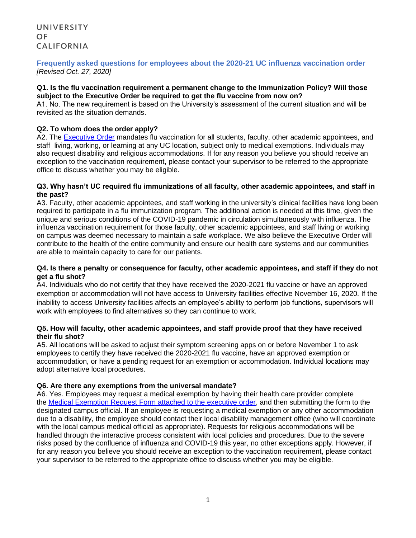# **Frequently asked questions for employees about the 2020-21 UC influenza vaccination order** *[Revised Oct. 27, 2020]*

#### **Q1. Is the flu vaccination requirement a permanent change to the Immunization Policy? Will those subject to the Executive Order be required to get the flu vaccine from now on?**

A1. No. The new requirement is based on the University's assessment of the current situation and will be revisited as the situation demands.

### **Q2. To whom does the order apply?**

A2. The [Executive Order](https://ucnet.universityofcalifornia.edu/news/2020/08/img/2020-21-flu-vaccination-executive-order.pdf) mandates flu vaccination for all students, faculty, other academic appointees, and staff living, working, or learning at any UC location, subject only to medical exemptions. Individuals may also request disability and religious accommodations. If for any reason you believe you should receive an exception to the vaccination requirement, please contact your supervisor to be referred to the appropriate office to discuss whether you may be eligible.

#### **Q3. Why hasn't UC required flu immunizations of all faculty, other academic appointees, and staff in the past?**

A3. Faculty, other academic appointees, and staff working in the university's clinical facilities have long been required to participate in a flu immunization program. The additional action is needed at this time, given the unique and serious conditions of the COVID-19 pandemic in circulation simultaneously with influenza. The influenza vaccination requirement for those faculty, other academic appointees, and staff living or working on campus was deemed necessary to maintain a safe workplace. We also believe the Executive Order will contribute to the health of the entire community and ensure our health care systems and our communities are able to maintain capacity to care for our patients.

### **Q4. Is there a penalty or consequence for faculty, other academic appointees, and staff if they do not get a flu shot?**

A4. Individuals who do not certify that they have received the 2020-2021 flu vaccine or have an approved exemption or accommodation will not have access to University facilities effective November 16, 2020. If the inability to access University facilities affects an employee's ability to perform job functions, supervisors will work with employees to find alternatives so they can continue to work.

### **Q5. How will faculty, other academic appointees, and staff provide proof that they have received their flu shot?**

A5. All locations will be asked to adjust their symptom screening apps on or before November 1 to ask employees to certify they have received the 2020-2021 flu vaccine, have an approved exemption or accommodation, or have a pending request for an exemption or accommodation. Individual locations may adopt alternative local procedures.

# **Q6. Are there any exemptions from the universal mandate?**

A6. Yes. Employees may request a medical exemption by having their health care provider complete the [Medical Exemption Request Form attached to the executive order,](https://ucnet.universityofcalifornia.edu/news/2020/08/img/2020-21-flu-vaccination-executive-order.pdf) and then submitting the form to the designated campus official. If an employee is requesting a medical exemption or any other accommodation due to a disability, the employee should contact their local disability management office (who will coordinate with the local campus medical official as appropriate). Requests for religious accommodations will be handled through the interactive process consistent with local policies and procedures. Due to the severe risks posed by the confluence of influenza and COVID-19 this year, no other exceptions apply. However, if for any reason you believe you should receive an exception to the vaccination requirement, please contact your supervisor to be referred to the appropriate office to discuss whether you may be eligible.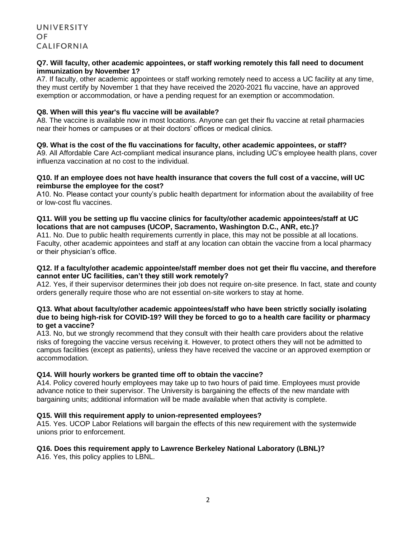#### **Q7. Will faculty, other academic appointees, or staff working remotely this fall need to document immunization by November 1?**

A7. If faculty, other academic appointees or staff working remotely need to access a UC facility at any time, they must certify by November 1 that they have received the 2020-2021 flu vaccine, have an approved exemption or accommodation, or have a pending request for an exemption or accommodation.

### **Q8. When will this year's flu vaccine will be available?**

A8. The vaccine is available now in most locations. Anyone can get their flu vaccine at retail pharmacies near their homes or campuses or at their doctors' offices or medical clinics.

### **Q9. What is the cost of the flu vaccinations for faculty, other academic appointees, or staff?**

A9. All Affordable Care Act-compliant medical insurance plans, including UC's employee health plans, cover influenza vaccination at no cost to the individual.

#### **Q10. If an employee does not have health insurance that covers the full cost of a vaccine, will UC reimburse the employee for the cost?**

A10. No. Please contact your county's public health department for information about the availability of free or low-cost flu vaccines.

### **Q11. Will you be setting up flu vaccine clinics for faculty/other academic appointees/staff at UC locations that are not campuses (UCOP, Sacramento, Washington D.C., ANR, etc.)?**

A11. No. Due to public health requirements currently in place, this may not be possible at all locations. Faculty, other academic appointees and staff at any location can obtain the vaccine from a local pharmacy or their physician's office.

### **Q12. If a faculty/other academic appointee/staff member does not get their flu vaccine, and therefore cannot enter UC facilities, can't they still work remotely?**

A12. Yes, if their supervisor determines their job does not require on-site presence. In fact, state and county orders generally require those who are not essential on-site workers to stay at home.

### **Q13. What about faculty/other academic appointees/staff who have been strictly socially isolating due to being high-risk for COVID-19? Will they be forced to go to a health care facility or pharmacy to get a vaccine?**

A13. No, but we strongly recommend that they consult with their health care providers about the relative risks of foregoing the vaccine versus receiving it. However, to protect others they will not be admitted to campus facilities (except as patients), unless they have received the vaccine or an approved exemption or accommodation.

# **Q14. Will hourly workers be granted time off to obtain the vaccine?**

A14. Policy covered hourly employees may take up to two hours of paid time. Employees must provide advance notice to their supervisor. The University is bargaining the effects of the new mandate with bargaining units; additional information will be made available when that activity is complete.

# **Q15. Will this requirement apply to union-represented employees?**

A15. Yes. UCOP Labor Relations will bargain the effects of this new requirement with the systemwide unions prior to enforcement.

# **Q16. Does this requirement apply to Lawrence Berkeley National Laboratory (LBNL)?**

A16. Yes, this policy applies to LBNL.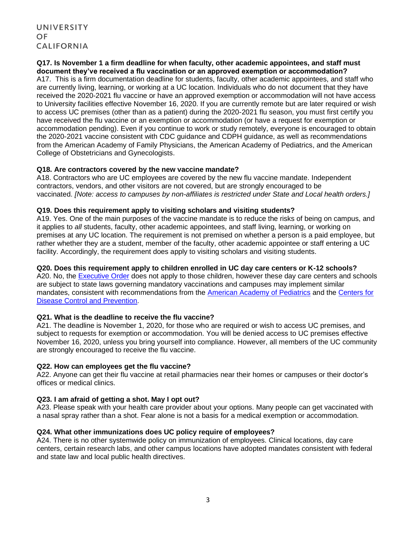# **Q17. Is November 1 a firm deadline for when faculty, other academic appointees, and staff must document they've received a flu vaccination or an approved exemption or accommodation?**

A17. This is a firm documentation deadline for students, faculty, other academic appointees, and staff who are currently living, learning, or working at a UC location. Individuals who do not document that they have received the 2020-2021 flu vaccine or have an approved exemption or accommodation will not have access to University facilities effective November 16, 2020. If you are currently remote but are later required or wish to access UC premises (other than as a patient) during the 2020-2021 flu season, you must first certify you have received the flu vaccine or an exemption or accommodation (or have a request for exemption or accommodation pending). Even if you continue to work or study remotely, everyone is encouraged to obtain the 2020-2021 vaccine consistent with [CDC guidance](https://www.cdc.gov/flu/season/faq-flu-season-2020-2021.htm) and [CDPH guidance,](https://www.cdph.ca.gov/Programs/OPA/Pages/NR20-235.aspx) as well as recommendations from the [American Academy of Family Physicians,](https://www.aafp.org/family-physician/patient-care/prevention-wellness/immunizations-vaccines/disease-pop-immunization/influenza.html) the [American Academy of Pediatrics,](https://www.aappublications.org/news/2020/09/08/flupolicy090820) and the [American](https://www.acog.org/clinical/clinical-guidance/committee-opinion/articles/2018/04/influenza-vaccination-during-pregnancy)  [College of Obstetricians and Gynecologists.](https://www.acog.org/clinical/clinical-guidance/committee-opinion/articles/2018/04/influenza-vaccination-during-pregnancy)

### **Q18. Are contractors covered by the new vaccine mandate?**

A18. Contractors who are UC employees are covered by the new flu vaccine mandate. Independent contractors, vendors, and other visitors are not covered, but are strongly encouraged to be vaccinated. *[Note: access to campuses by non-affiliates is restricted under State and Local health orders.]*

### **Q19. Does this requirement apply to visiting scholars and visiting students?**

A19. Yes. One of the main purposes of the vaccine mandate is to reduce the risks of being on campus, and it applies to *all* students, faculty, other academic appointees, and staff living, learning, or working on premises at any UC location. The requirement is not premised on whether a person is a paid employee, but rather whether they are a student, member of the faculty, other academic appointee or staff entering a UC facility. Accordingly, the requirement does apply to visiting scholars and visiting students.

### **Q20. Does this requirement apply to children enrolled in UC day care centers or K-12 schools?**

A20. No, the [Executive Order](https://ucnet.universityofcalifornia.edu/news/2020/08/img/2020-21-flu-vaccination-executive-order.pdf) does not apply to those children, however these day care centers and schools are subject to state laws governing mandatory vaccinations and campuses may implement similar mandates, consistent with recommendations from the [American Academy of Pediatrics](https://pediatrics.aappublications.org/content/138/3/e20162145) and the [Centers for](https://www.cdc.gov/flu/season/faq-flu-season-2020-2021.htm)  [Disease Control and Prevention.](https://www.cdc.gov/flu/season/faq-flu-season-2020-2021.htm)

# **Q21. What is the deadline to receive the flu vaccine?**

A21. The deadline is November 1, 2020, for those who are required or wish to access UC premises, and subject to requests for exemption or accommodation. You will be denied access to UC premises effective November 16, 2020, unless you bring yourself into compliance. However, all members of the UC community are strongly encouraged to receive the flu vaccine.

### **Q22. How can employees get the flu vaccine?**

A22. Anyone can get their flu vaccine at retail pharmacies near their homes or campuses or their doctor's offices or medical clinics.

# **Q23. I am afraid of getting a shot. May I opt out?**

A23. Please speak with your health care provider about your options. Many people can get vaccinated with a nasal spray rather than a shot. Fear alone is not a basis for a medical exemption or accommodation.

### **Q24. What other immunizations does UC policy require of employees?**

A24. There is no other systemwide policy on immunization of employees. Clinical locations, day care centers, certain research labs, and other campus locations have adopted mandates consistent with federal and state law and local public health directives.